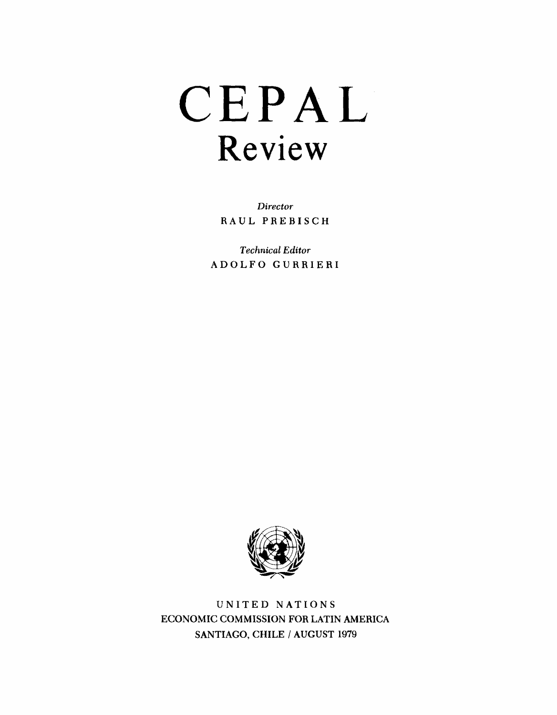# **CEPAL Review**

*Director* **RAUL PREBISCH**

*Technical Editor* **ADOLFO GURRIERI**



**UNITED NATIONS ECONOMIC COMMISSION FOR LATIN AMERICA SANTIAGO, CHILE / AUGUST 1979**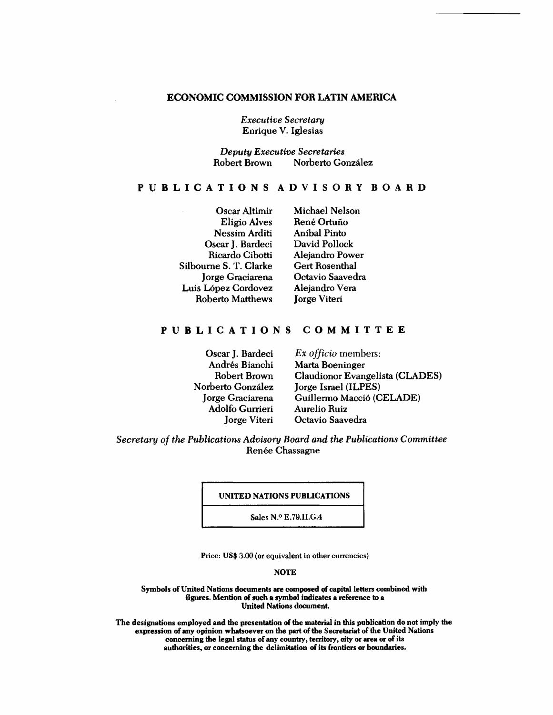#### **ECONOMIC COMMISSION FOR LATIN AMERICA**

*Executive Secretary* **Enrique V. Iglesias**

*Deputy Executive Secretaries* **Norberto González** 

# **P U B LI CATIONS ADVISORY BOARD**

**Oscar Altimir Eligió Alves Nessim Arditi Oscar ]. Bardeci Ricardo Cibotti Silboume S. T. Clarke Jorge Graciarena Luis López Cordovez Roberto Matthews**

**Michael Nelson René Ortuño Aníbal Pinto David Pollock Alejandro Power Gert Rosenthal Octavio Saavedra Alejandro Vera Jorge Viteri**

# **PUBLICATIONS COMMITTEE**

**Oscar J. Bardeci Andrés Bianchi Robert Brown Norberto González Jorge Graciarena Adolfo Gurrieri Jorge Viteri**

*Ex officio* **members: Marta Boeninger Claudionor Evangelista (CLADES) Jorge Israel (ILPES) Guillermo Maccib (CELADE) Aurelio Ruiz Octavio Saavedra**

*Secretary of the Publications Advisory Board and the Publications Committee* **Renée Chassagne**

#### **UNITED NATIONS PUBLICATIONS**

**Sales N.° E.79.II.G.4**

Price: US\$ 3.00 (or equivalent in other currencies)

#### **NOTE**

**Symbols of United Nations documents are composed of capital letters combined with figures. Mention of such a symbol indicates a reference to a United Nations document.**

**The designations employed and the presentation of the material in this publication do not imply the expression of any opinion whatsoever on the part of the Secretariat of the United Nations concerning the legal status of any country, territory, city or area or of its authorities, or concerning the delimitation of its frontiers or boundaries.**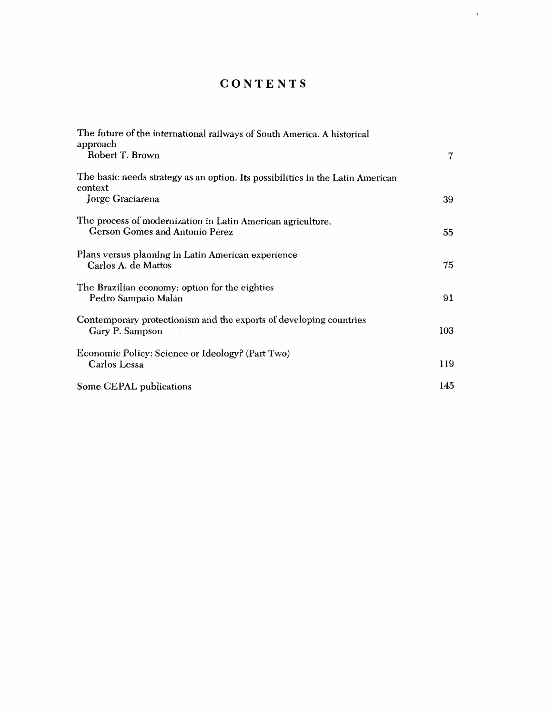# CONTENTS

 $\frac{1}{2} \frac{1}{2} \frac{1}{2} \frac{1}{2}$ 

 $\mathcal{L}^{\text{max}}_{\text{max}}$ 

| The future of the international railways of South America. A historical<br>approach<br>Robert T. Brown        | 7   |
|---------------------------------------------------------------------------------------------------------------|-----|
| The basic needs strategy as an option. Its possibilities in the Latin American<br>context<br>Jorge Graciarena | 39  |
| The process of modernization in Latin American agriculture.<br>Gerson Gomes and Antonio Pérez                 | 55  |
| Plans versus planning in Latin American experience<br>Carlos A. de Mattos                                     | 75  |
| The Brazilian economy: option for the eighties<br>Pedro Sampaio Malán                                         | 91  |
| Contemporary protectionism and the exports of developing countries<br>Gary P. Sampson                         | 103 |
| Economic Policy: Science or Ideology? (Part Two)<br>Carlos Lessa                                              | 119 |
| Some CEPAL publications                                                                                       | 145 |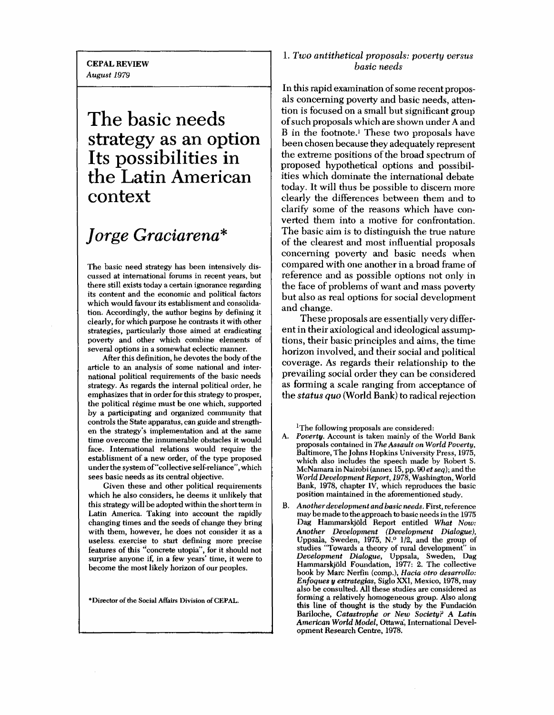# **The basic needs strategy as an option Its possibilities in the Latin American context**

# *Jorge Graciarena\**

The basic need strategy has been intensively discussed at international forums in recent years, but there still exists today a certain ignorance regarding its content and the economic and political factors which would favour its establisment and consolidation. Accordingly, the author begins by defining it clearly, for which purpose he contrasts it with other strategies, particularly those aimed at eradicating poverty and other which combine elements of several options in a somewhat eclectic manner.

After this definition, he devotes the body of the article to an analysis of some national and international political requirements of the basic needs strategy. As regards the internal political order, he emphasizes that in order for this strategy to prosper, the political régime must be one which, supported by a participating and organized community that controls the State apparatus, can guide and strengthen the strategy's implementation and at the same time overcome the innumerable obstacles it would face. International relations would require the establisment of a new order, of the type proposed under the system of "collective self-reliance", which sees basic needs as its central objective.

Given these and other political requirements which he also considers, he deems it unlikely that this strategy will be adopted within the short term in Latin America. Taking into account the rapidly changing times and the seeds of change they bring with them, however, he does not consider it as a useless, exercise to start defining more precise features of this "concrete utopia", for it should not surprise anyone if, in a few years' time, it were to become the most likely horizon of our peoples.

\*Director of the Social Affairs Division of CEPAL.

# 1. *Two antithetical proposals: poverty versus basic needs*

In this rapid examination of some recent proposals concerning poverty and basic needs, attention is focused on a small but significant group of such proposals which are shown under A and B in the footnote.1 These two proposals have been chosen because they adequately represent the extreme positions of the broad spectrum of proposed hypothetical options and possibilities which dominate the international debate today. It will thus be possible to discern more clearly the differences between them and to clarify some of the reasons which have converted them into a motive for confrontation. The basic aim is to distinguish the true nature of the clearest and most influential proposals concerning poverty and basic needs when compared with one another in a broad frame of reference and as possible options not only in the face of problems of want and mass poverty but also as real options for social development and change.

These proposals are essentially very different in their axiological and ideological assumptions, their basic principles and aims, the time horizon involved, and their social and political coverage. As regards their relationship to the prevailing social order they can be considered as forming a scale ranging from acceptance of the *status quo* (World Bank) to radical rejection

<sup>1</sup>The following proposals are considered:

- A. *Poverty.* Account is taken mainly of the World Bank proposals contained in *The Assault on World Poverty,* Baltimore, The Johns Hopkins University Press, 1975, which also includes the speech made by Robert S. McNamara in Nairobi (annex 15, pp. 90 *et seq);* and the *World Development Report, 1978,* Washington, World Bank, 1978, chapter IV, which reproduces the basic position maintained in the aforementioned study.
- B. *Another development and basic needs.* First, reference may be made to the approach to basic needs in the 1975 Dag Hammarskjöld Report entitled *What Now: Another Development (Development Dialogue),* Uppsala, Sweden, 1975, N.° 1/2, and the group of studies "Towards a theory of rural development" in *Development Dialogue,* Uppsala, Sweden, Dag Hammarskjöld Foundation, 1977: 2, The collective book by Marc Nerfin (comp.), *Hacia otro desarrollo: Enfoques y estrategias,* Siglo XXI, Mexico, 1978, may also be consulted. All these studies are considered as forming a relatively homogeneous group. Also along this line of thought is the study by the Fundación Bariloche, *Catastrophe or New Society*? *A Latin American World Model,* Ottawa, International Development Research Centre, 1978.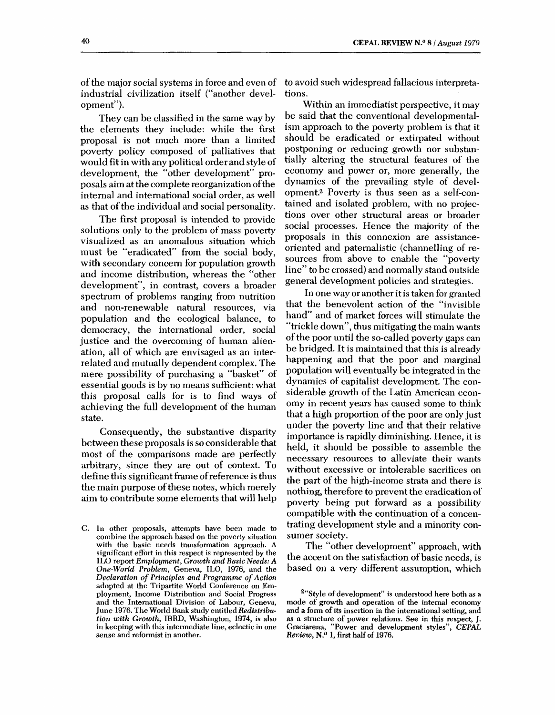$\rm{ot}$  the major social systems in force and even  $\rm{of}$   $\,$  to avoid such widespread fallacious interpretaindustrial civilization itself ("another development").

They can be classified in the same way by the elements they include: while the first proposal is not much more than a limited poverty policy composed of palliatives that would fit in with any political order and style of development, the "other development" proposals aim at the complete reorganization of the internal and international social order, as well as that of the individual and social personality.

The first proposal is intended to provide solutions only to the problem of mass poverty visualized as an anomalous situation which must be "eradicated" from the social body, with secondary concern for population growth and income distribution, whereas the "other development", in contrast, covers a broader spectrum of problems ranging from nutrition and non-renewable natural resources, via population and the ecological balance, to democracy, the international order, social justice and the overcoming of human alienation, all of which are envisaged as an interrelated and mutually dependent complex. The mere possibility of purchasing a "basket" of essential goods is by no means sufficient: what this proposal calls for is to find ways of achieving the full development of the human state.

Consequently, the substantive disparity between these proposals is so considerable that most of the comparisons made are perfectly arbitrary, since they are out of context. To define this significant frame of reference is thus the main purpose of these notes, which merely aim to contribute some elements that will help tions.

Within an immediatist perspective, it may be said that the conventional developmentalism approach to the poverty problem is that it should be eradicated or extirpated without postponing or reducing growth nor substantially altering the structural features of the economy and power or, more generally, the dynamics of the prevailing style of development.2 Poverty is thus seen as a self-contained and isolated problem, with no projections over other structural areas or broader social processes. Hence the majority of the proposals in this connexion are assistanceoriented and paternalistic (channelling of resources from above to enable the "poverty line" to be crossed) and normally stand outside general development policies and strategies.

In one way or another it is taken for granted that the benevolent action of the "invisible hand" and of market forces will stimulate the "trickle down", thus mitigating the main wants of the poor until the so-called poverty gaps can be bridged. It is maintained that this is already happening and that the poor and marginal population will eventually be integrated in the dynamics of capitalist development. The considerable growth of the Latin American economy in recent years has caused some to think that a high proportion of the poor are only just under the poverty line and that their relative importance is rapidly diminishing. Hence, it is held, it should be possible to assemble the necessary resources to alleviate their wants without excessive or intolerable sacrifices on the part of the high-income strata and there is nothing, therefore to prevent the eradication of poverty being put forward as a possibility compatible with the continuation of a concentrating development style and a minority consumer society.

The "other development" approach, with the accent on the satisfaction of basic needs, is based on a very different assumption, which

C. In other proposals, attempts have been made to combine the approach based on the poverty situation with the basic needs transformation approach. A significant effort in this respect is represented by the ILO report *Employment, Growth and Basic Needs: A One-World Problem,* Geneva, ILO, 1976, and the *Declaration of Principles and Programme of Action* adopted at the Tripartite World Conference on Employment, Income Distribution and Social Progress and the International Division of Labour, Geneva, June 1976. The World Bank study entitled *Redistribution with Growth,* IBRD, Washington, 1974, is also in keeping with this intermediate line, eclectic in one sense and reformist in another.

<sup>&</sup>lt;sup>2"</sup>Style of development" is understood here both as a mode of growth and operation of the internal economy and a form of its insertion in the international setting, and as a structure of power relations. See in this respect, J. Graciarena, "Power and development styles", *CEPAL Review,* N.° 1, first half of 1976.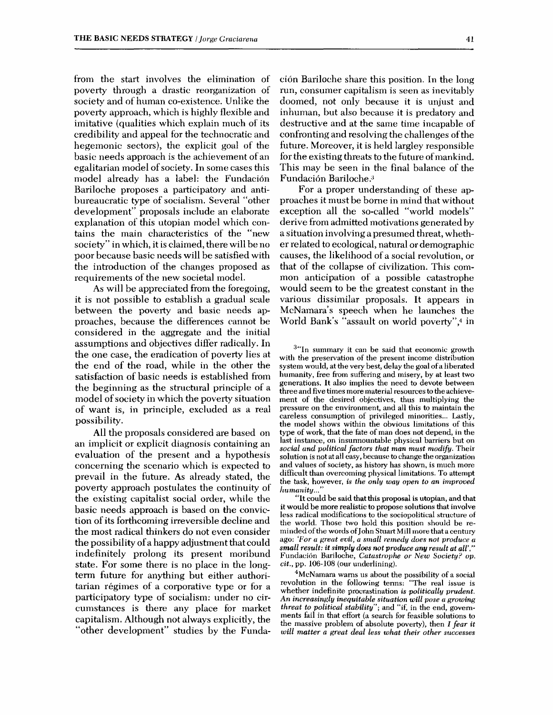from the start involves the elimination of poverty through a drastic reorganization of society and of human co-existence. Unlike the poverty approach, which is highly flexible and imitative (qualities which explain much of its credibility and appeal for the technocratic and hegemonic sectors), the explicit goal of the basic needs approach is the achievement of an egalitarian model of society. In some cases this model already has a label: the Fundación Bariloche proposes a participatory and antibureaucratic type of socialism. Several "other development" proposals include an elaborate explanation of this utopian model which contains the main characteristics of the "new society" in which, it is claimed, there will be no poor because basic needs will be satisfied with the introduction of the changes proposed as requirements of the new societal model.

As will be appreciated from the foregoing, it is not possible to establish a gradual scale between the poverty and basic needs approaches, because the differences cannot be considered in the aggregate and the initial assumptions and objectives differ radically. In the one case, the eradication of poverty lies at the end of the road, while in the other the satisfaction of basic needs is established from the beginning as the structural principle of a model of society in which the poverty situation of want is, in principle, excluded as a real possibility.

All the proposals considered are based on an implicit or explicit diagnosis containing an evaluation of the present and a hypothesis concerning the scenario which is expected to prevail in the future. As already stated, the poverty approach postulates the continuity of the existing capitalist social order, while the basic needs approach is based on the conviction of its forthcoming irreversible decline and the most radical thinkers do not even consider the possibility of a happy adjustment that could indefinitely prolong its present moribund state. For some there is no place in the longterm future for anything but either authoritarian regimes of a corporative type or for a partieipatory type of socialism: under no circumstances is there any place for market capitalism. Although not always explicitly, the "other development" studies by the Fundación Bariloche share this position. In the long run, consumer capitalism is seen as inevitably doomed, not only because it is unjust and inhuman, but also because it is predatory and destructive and at the same time incapable of confronting and resolving the challenges of the future. Moreover, it is held largley responsible for the existing threats to the future of mankind. This may be seen in the final balance of the Fundación Bariloche.3

For a proper understanding of these approaches it must be borne in mind that without exception all the so-called "world models" derive from admitted motivations generated by a situation involving a presumed threat, whether related to ecological, natural or demographic causes, the likelihood of a social revolution, or that of the collapse of civilization. This common anticipation of a possible catastrophe would seem to be the greatest constant in the various dissimilar proposals. It appears in McNamara's speech when he launches the World Bank's "assault on world poverty",4 in

<sup>3"</sup>In summary it can be said that economic growth with the preservation of the present income distribution system would, at the very best, delay the goal of a liberated humanity, free from suffering and misery, by at least two generations. It also implies the need to devote between three and five times more material resources to the achievement of the desired objectives, thus multiplying the pressure on the environment, and all this to maintain the careless consumption of privileged minorities... Lastly, the model shows within the obvious limitations of this type of work, that the fate of man does not depend, in the last instance, on insunnountable physical barriers but on *social and political factors that man must modify.* Their solution is not at all easy, because to change the organization and values of society, as history has shown, is much more difficult than overcoming physical limitations. To attempt the task, however, *is the only way open to an improved humanity..."*

" It could be said that this proposal is utopian, and that it would be more realistic to propose solutions that involve less radical modifications to the sociopolitical structure of the world. Those two hold this position should be reminded of the words of John Stuart Mill more that a century ago: *'For a great evil, a small remedy does not produce a small result: it simply does not produce any result at all'."* Fundación Bariloche, *Catastrophe or New Society? op. cit.,* pp. 106-108 (our underlining).

<sup>4</sup>McNamara warns us about the possibility of a social revolution in the following tenns: "The real issue is whether indefinite procrastination *is politically prudent. An increasingly inequitable situation will pose a growing threat to political stability ";* and "if, in the end, governments fail in that effort (a search for feasible solutions to the massive problem of absolute poverty), then *I fear it will matter a great deal less what their other successes*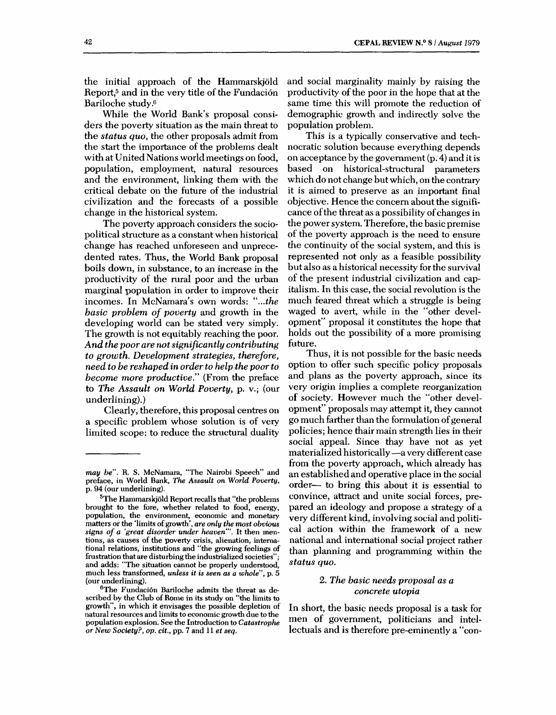the initial approach of the Hammarskjöld Report,5 and in the very title of the Fundación Bariloche study.6

While the World Bank's proposal considers the poverty situation as the main threat to the *status quo*, the other proposals admit from the start the importance of the problems dealt with at United Nations world meetings on food, population, employment, natural resources and the environment, linking them with the critical debate on the future of the industrial civilization and the forecasts of a possible change in the historical system.

The poverty approach considers the sociopolitical structure as a constant when historical change has reached unforeseen and unprecedented rates. Thus, the World Bank proposal boils down, in substance, to an increase in the productivity of the rural poor and the urban marginal population in order to improve their incomes. In McNamara's own words: "...the *basic problem of poverty* and growth in the developing world can be stated very simply. The growth is not equitably reaching the poor. *And the poor are not significantly contributing to growth. Development strategies, therefore, need to be reshaped in order to help the poor to become more productive.*" (From the preface to *The Assault on World Poverty,* p. v.; (our underlining).)

Clearly, therefore, this proposal centres on a specific problem whose solution is of very limited scope: to reduce the structural duality and social marginality mainly by raising the productivity of the poor in the hope that at the same time this will promote the reduction of demographic growth and indirectly solve the population problem.

This is a typically conservative and technocratic solution because everything depends on acceptance by the government (p. 4) and it is based on historical-structural parameters which do not change but which, on the contrary it is aimed to preserve as an important final objective. Hence the concern about the significance of the threat as a possibility of changes in the power system. Therefore, the basic premise of the poverty approach is the need to ensure the continuity of the social system, and this is represented not only as a feasible possibility but also as a historical necessity for the survival of the present industrial civilization and capitalism. In this case, the social revolution is the much feared threat which a struggle is being waged to avert, while in the "other development" proposal it constitutes the hope that holds out the possibility of a more promising future.

Thus, it is not possible for the basic needs option to offer such specific policy proposals and plans as the poverty approach, since its very origin implies a complete reorganization of society. However much the "other development" proposals may attempt it, they cannot go much farther than the formulation of general policies; hence thairmain strength lies in their social appeal. Since thay have not as yet materialized historically —a very different case from the poverty approach, which already has an established and operative place in the social order— to bring this about it is essential to convince, attract and unite social forces, prepared an ideology and propose a strategy of a very different kind, involving social and political action within the framework of a new national and international social project rather than planning and programming within the *status quo.*

# 2. *The basic needs proposal as a concrete utopia*

In short, the basic needs proposal is a task for men of government, politicians and intellectuals and is therefore pre-eminently a "con

*may b e".* R. S. McNamara, "The Nairobi Speech" and preface, in World Bank, *The Assault on World Poverty,* p. 94 (our underlining).

<sup>5</sup>The Hammarskjöld Report recalls that "the problems brought to the fore, whether related to food, energy, population, the environment, economic and monetary matters or the 'limits of growth', *are only the most obvious* signs of a 'great disorder under heaven'". It then mentions, as causes of the poverty crisis, alienation, international relations, institutions and "the growing feelings of frustration that are disturbing the industrialized societies"; and adds; "The situation cannot be properly understood, much less transformed, *unless it is seen as a whole",* p. 5 (our underlining).

<sup>6</sup>The Fundación Bariloche admits the threat as described by the Club of Rome in its study on "the limits to growth", in which it envisages the possible depletion of natural resources and limits to economic growth due to the population explosion. See the Introduction to *Catastrophe or New Society?, op. cit.,* pp. 7 and 11 *et seq.*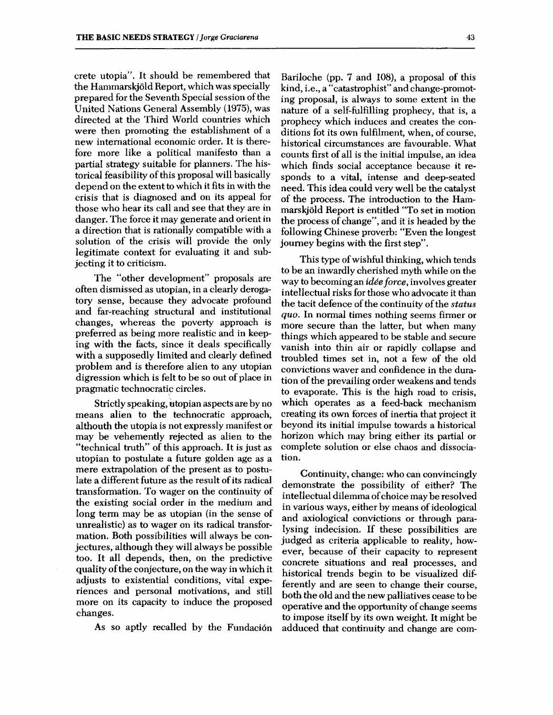crete utopia". It should be remembered that the Hammarskjöld Report, which was specially prepared for the Seventh Special session of the United Nations General Assembly (1975), was directed at the Third World countries which were then promoting the establishment of a new international economic order. It is therefore more like a political manifesto than a partial strategy suitable for planners. The historical feasibility of this proposal will basically depend on the extent to which it fits in with the crisis that is diagnosed and on its appeal for those who hear its call and see that they are in danger. The force it may generate and orient in a direction that is rationally compatible with a solution of the crisis will provide the only legitimate context for evaluating it and subjecting it to criticism.

The "other development" proposals are often dismissed as utopian, in a clearly derogatory sense, because they advocate profound and far-reaching structural and institutional changes, whereas the poverty approach is preferred as being more realistic and in keeping with the facts, since it deals specifically with a supposedly limited and clearly defined problem and is therefore alien to any utopian digression which is felt to be so out of place in pragmatic technocratic circles.

Strictly speaking, utopian aspects are by no means alien to the technocratic approach, althouth the utopia is not expressly manifest or may be vehemently rejected as alien to the "technical truth" of this approach. It is just as utopian to postulate a future golden age as a mere extrapolation of the present as to postulate a different future as the result of its radical transformation. To wager on the continuity of the existing social order in the medium and long term may be as utopian (in the sense of unrealistic) as to wager on its radical transformation. Both possibilities will always be conjectures, although they will always be possible too. It all depends, then, on the predictive quality of the conjecture, on the way in which it adjusts to existential conditions, vital experiences and personal motivations, and still more on its capacity to induce the proposed changes.

As so aptly recalled by the Fundación

Bariloche (pp. 7 and 108), a proposal of this kind, i.e., a "catastrophist" and change-promoting proposal, is always to some extent in the nature of a self-fulfilling prophecy, that is, a prophecy which induces and creates the conditions fot its own fulfilment, when, of course, historical circumstances are favourable. What counts first of all is the initial impulse, an idea which finds social acceptance because it responds to a vital, intense and deep-seated need. This idea could very well be the catalyst of the process. The introduction to the Hammarskjöld Report is entitled "To set in motion the process of change", and it is headed by the following Chinese proverb: "Even the longest journey begins with the first step".

This type of wishful thinking, which tends to be an inwardly cherished myth while on the way to becoming an *idée force,* involves greater intellectual risks for those who advocate it than the tacit defence of the continuity of the *status quo.* In normal times nothing seems firmer or more secure than the latter, but when many things which appeared to be stable and secure vanish into thin air or rapidly collapse and troubled times set in, not a few of the old convictions waver and confidence in the duration of the prevailing order weakens and tends to evaporate. This is the high road to crisis, which operates as a feed-back mechanism creating its own forces of inertia that project it beyond its initial impulse towards a historical horizon which may bring either its partial or complete solution or else chaos and dissociation.

Continuity, change: who can convincingly demonstrate the possibility of either? The intellectual dilemma of choice may be resolved in various ways, either by means of ideological and axiological convictions or through paralysing indecision. If these possibilities are judged as criteria applicable to reality, however, because of their capacity to represent concrete situations and real processes, and historical trends begin to be visualized differently and are seen to change their course, both the old and the new palliatives cease to be operative and the opportunity of change seems to impose itself by its own weight. It might be adduced that continuity and change are com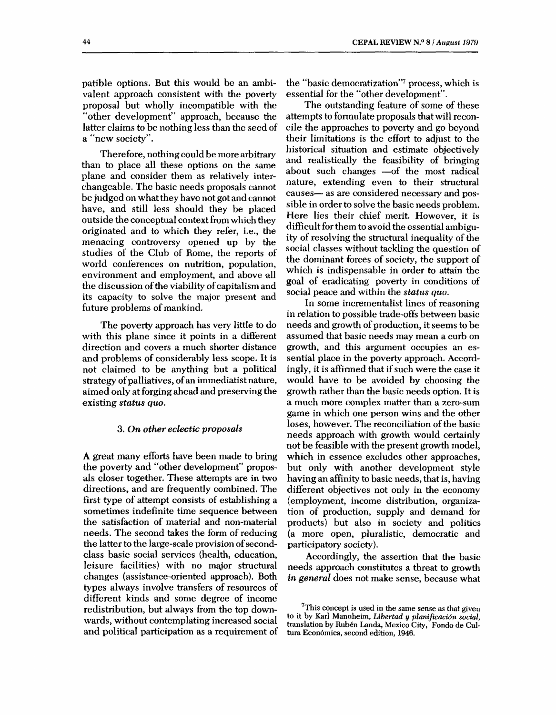patible options. But this would be an ambivalent approach consistent with the poverty proposal but wholly incompatible with the "other development" approach, because the latter claims to be nothing less than the seed of a "new society".

Therefore, nothing could be more arbitrary than to place all these options on the same plane and consider them as relatively interchangeable. The basic needs proposals cannot be judged on what they have not got and cannot have, and still less should they be placed outside the conceptual context from which they originated and to which they refer, i.e., the menacing controversy opened up by the studies of the Club of Rome, the reports of world conferences on nutrition, population, environment and employment, and above all the discussion of the viability of capitalism and its capacity to solve the major present and future problems of mankind.

The poverty approach has very little to do with this plane since it points in a different direction and covers a much shorter distance and problems of considerably less scope. It is not claimed to be anything but a political strategy of palliatives, of an immediatist nature, aimed only at forging ahead and preserving the existing *status quo.*

#### 3. *On other eclectic proposals*

A great many efforts have been made to bring the poverty and "other development" proposals closer together. These attempts are in two directions, and are frequently combined. The first type of attempt consists of establishing a sometimes indefinite time sequence between the satisfaction of material and non-material needs. The second takes the form of reducing the latter to the large-scale provision of secondclass basic social services (health, education, leisure facilities) with no major structural changes (assistance-oriented approach). Both types always involve transfers of resources of different kinds and some degree of income redistribution, but always from the top downwards, without contemplating increased social and political participation as a requirement of the "basic democratization"7 process, which is essential for the "other development".

The outstanding feature of some of these attempts to formulate proposals that will reconcile the approaches to poverty and go beyond their limitations is the effort to adjust to the historical situation and estimate objectively and realistically the feasibility of bringing about such changes —of the most radical nature, extending even to their structural causes— as are considered necessary and possible in order to solve the basic needs problem. Here lies their chief merit. However, it is difficult for them to avoid the essential ambiguity of resolving the structural inequality of the social classes without tackling the question of the dominant forces of society, the support of which is indispensable in order to attain the goal of eradicating poverty in conditions of social peace and within the *status quo*.

In some incrementalist lines of reasoning in relation to possible trade-ofis between basic needs and growth of production, it seems to be assumed that basic needs may mean a curb on growth, and this argument occupies an essential place in the poverty approach. Accordingly, it is affirmed that if such were the case it would have to be avoided by choosing the growth rather than the basic needs option. It is a much more complex matter than a zero-sum game in which one person wins and the other loses, however. The reconciliation of the basic needs approach with growth would certainly not be feasible with the present growth model, which in essence excludes other approaches, but only with another development style having an affinity to basic needs, that is, having different objectives not only in the economy (employment, income distribution, organization of production, supply and demand for products) but also in society and politics (a more open, pluralistic, democratic and participatory society).

Accordingly, the assertion that the basic needs approach constitutes a threat to growth *in general* does not make sense, because what

<sup>&</sup>lt;sup>7</sup>This concept is used in the same sense as that given to it by Karl Mannheim, *Libertad y planificación social,* translation by Rubén Landa, Mexico City, Fondo de Cultura Económica, second edition, 1946,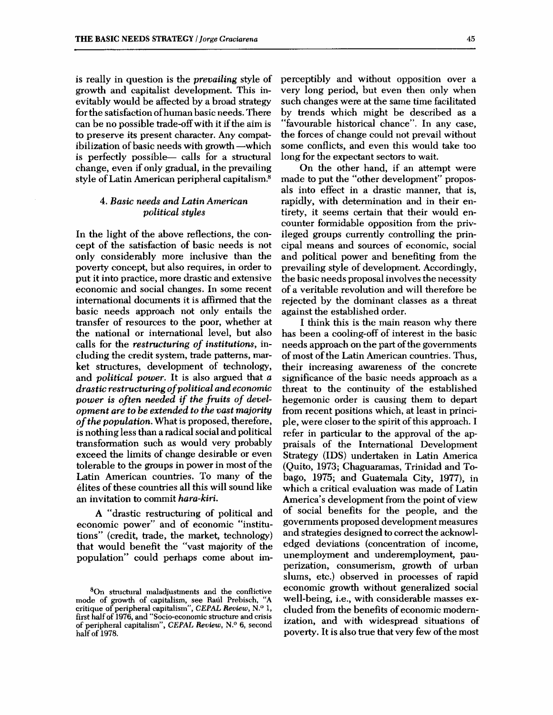is really in question is the *prevailing* style of growth and capitalist development. This inevitably would be affected by a broad strategy for the satisfaction of human basic needs. There can be no possible trade-off with it if the aim is to preserve its present character. Any compatibilization of basic needs with growth—which is perfectly possible— calls for a structural change, even if only gradual, in the prevailing style of Latin American peripheral capitalism.8

#### 4. *Basic needs and Latin American political styles*

In the light of the above reflections, the concept of the satisfaction of basic needs is not only considerably more inclusive than the poverty concept, but also requires, in order to put it into practice, more drastic and extensive economic and social changes. In some recent international documents it is affirmed that the basic needs approach not only entails the transfer of resources to the poor, whether at the national or international level, but also calls for the *restructuring of institutions*, including the credit system, trade patterns, market structures, development of technology, and *political power.* It is also argued that *a drastic restructuring o f political and economic power is often needed if the fruits of developm ent are to be extended to the vast majority o f the population*. What is proposed, therefore, is nothing less than a radical social and political transformation such as would very probably exceed the limits of change desirable or even tolerable to the groups in power in most of the Latin American countries. To many of the élites of these countries all this will sound like an invitation to commit *hara-kiri.*

A "drastic restructuring of political and economic power" and of economic "institutions" (credit, trade, the market, technology) that would benefit the "vast majority of the population" could perhaps come about imperceptibly and without opposition over a very long period, but even then only when such changes were at the same time facilitated by trends which might be described as a "favourable historical chance". In any case, the forces of change could not prevail without some conflicts, and even this would take too long for the expectant sectors to wait.

On the other hand, if an attempt were made to put the "other development" proposals into effect in a drastic manner, that is, rapidly, with determination and in their entirety, it seems certain that their would encounter formidable opposition from the privileged groups currently controlling the principal means and sources of economic, social and political power and benefiting from the prevailing style of development. Accordingly, the basic needs proposal involves the necessity of a veritable revolution and will therefore be rejected by the dominant classes as a threat against the established order.

I think this is the main reason why there has been a cooling-off of interest in the basic needs approach on the part of the governments of most of the Latin American countries. Thus, their increasing awareness of the concrete significance of the basic needs approach as a threat to the continuity of the established hegemonic order is causing them to depart from recent positions which, at least in principle, were closer to the spirit of this approach. I refer in particular to the approval of the appraisals of the International Development Strategy (IDS) undertaken in Latin America (Quito, 1973; Chaguaramas, Trinidad and Tobago, 1975; and Guatemala City, 1977), in which a critical evaluation was made of Latin America's development from the point of view of social benefits for the people, and the governments proposed development measures and strategies designed to correct the acknowledged deviations (concentration of income, unemployment and underemployment, pauperization, consumerism, growth of urban slums, etc.) observed in processes of rapid economic growth without generalized social well-being, i.e., with considerable masses excluded from the benefits of economic modernization, and with widespread situations of poverty. It is also true that very few of the most

<sup>8</sup>On structural maladjustments and the conflictive mode of growth of capitalism, see Raúl Prebisch, "A critique of peripheral capitalism", *CEPAL Review*, N.° 1, first half of 1976, and "Socio-economic structure and crisis of peripheral capitalism", *CEPAL Review*, N.° 6, second half of 1978.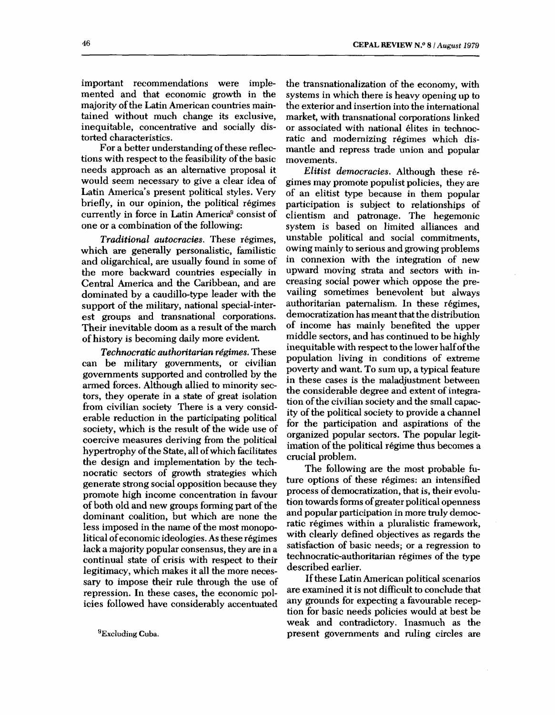important recommendations were implemented and that economic growth in the majority of the Latin American countries maintained without much change its exclusive, inequitable, concentrative and socially distorted characteristics.

For a better understanding of these reflections with respect to the feasibility of the basic needs approach as an alternative proposal it would seem necessary to give a clear idea of Latin America's present political styles. Very briefly, in our opinion, the political régimes currently in force in Latin America9 consist of one or a combination of the following:

*Traditional autocracies.* These régimes, which are generally personalistic, familistic and oligarchical, are usually found in some of the more backward countries especially in Central America and the Caribbean, and are dominated by a caudillo-type leader with the support of the military, national special-interest groups and transnational corporations. Their inevitable doom as a result of the march of history is becoming daily more evident.

*Technocratic authoritarian régimes*. These can be military governments, or civilian governments supported and controlled by the armed forces. Although allied to minority sectors, they operate in a state of great isolation from civilian society There is a very considerable reduction in the participating political society, which is the result of the wide use of coercive measures deriving from the political hypertrophy of the State, all of which facilitates the design and implementation by the technocratic sectors of growth strategies which generate strong social opposition because they promote high income concentration in favour of both old and new groups forming part of the dominant coalition, but which are none the less imposed in the name of the most monopolitical of economic ideologies. As these régimes lack a majority popular consensus, they are in a continual state of crisis with respect to their legitimacy, which makes it all the more necessary to impose their rule through the use of repression. In these cases, the economic policies followed have considerably accentuated

the transnationalization of the economy, with systems in which there is heavy opening up to the exterior and insertion into the international market, with transnational corporations linked or associated with national élites in technocratic and modernizing régimes which dismantle and repress trade union and popular movements.

*Elitist democracies*. Although these régimes may promote populist policies, they are of an elitist type because in them popular participation is subject to relationships of clientism and patronage. The hegemonic system is based on limited alliances and unstable political and social commitments, owing mainly to serious and growing problems in connexion with the integration of new upward moving strata and sectors with increasing social power which oppose the prevailing sometimes benevolent but always authoritarian paternalism. In these régimes, democratization has meant that the distribution of income has mainly benefited the upper middle sectors, and has continued to be highly inequitable with respect to the lower half of the population living in conditions of extreme poverty and want. To sum up, a typical feature in these cases is the maladjustment between the considerable degree and extent of integration of the civilian society and the small capacity of the political society to provide a channel for the participation and aspirations of the organized popular sectors. The popular legitimation of the political régime thus becomes a crucial problem.

The following are the most probable future options of these régimes: an intensified process of democratization, that is, their evolution towards forms of greater political openness and popular participation in more truly democratic régimes within a pluralistic framework, with clearly defined objectives as regards the satisfaction of basic needs; or a regression to technocratic-authoritarian régimes of the type described earlier.

If these Latin American political scenarios are examined it is not difficult to conclude that any grounds for expecting a favourable reception for basic needs policies would at best be weak and contradictory. Inasmuch as the present governments and ruling circles are

<sup>&</sup>lt;sup>9</sup>Excluding Cuba.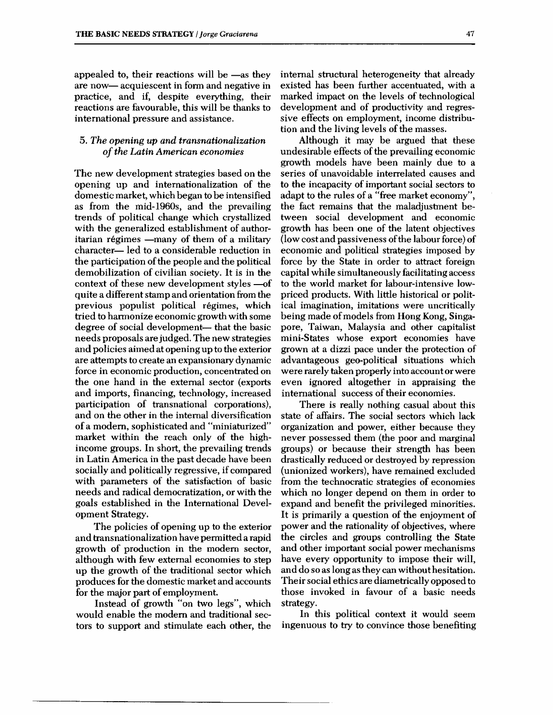appealed to, their reactions will be —as they are now— acquiescent in form and negative in practice, and if, despite everything, their reactions are favourable, this will be thanks to international pressure and assistance.

# 5. *The opening up and transnationalization o f the Latin American economies*

The new development strategies based on the opening up and internationalization of the domestic market, which began to be intensified as from the mid-1960s, and the prevailing trends of political change which crystallized with the generalized establishment of authoritarian régimes —many of them of a military character— led to a considerable reduction in the participation of the people and the political demobilization of civilian society. It is in the context of these new development styles —of quite a different stamp and orientation from the previous populist political régimes, which tried to harmonize economic growth with some degree of social development— that the basic needs proposals are judged. The new strategies and policies aimed at opening up to the exterior are attempts to create an expansionary dynamic force in economic production, concentrated on the one hand in the external sector (exports and imports, financing, technology, increased participation of transnational corporations), and on the other in the internal diversification of a modem, sophisticated and "miniaturized" market within the reach only of the highincome groups. In short, the prevailing trends in Latin America in the past decade have been socially and politically regressive, if compared with parameters of the satisfaction of basic needs and radical democratization, or with the goals established in the International Development Strategy.

The policies of opening up to the exterior and transnationalization have permitted a rapid growth of production in the modem sector, although with few external economies to step up the growth of the traditional sector which produces for the domestic market and accounts for the major part of employment.

Instead of growth "on two legs", which would enable the modem and traditional sectors to support and stimulate each other, the internal structural heterogeneity that already existed has been further accentuated, with a marked impact on the levels of technological development and of productivity and regressive effects on employment, income distribution and the living levels of the masses.

Although it may be argued that these undesirable effects of the prevailing economic growth models have been mainly due to a series of unavoidable interrelated causes and to the incapacity of important social sectors to adapt to the rules of a "free market economy", the fact remains that the maladjustment between social development and economic growth has been one of the latent objectives (low costand passiveness of the labour force) of economic and political strategies imposed by force by the State in order to attract foreign capital while simultaneously facilitating access to the world market for labour-intensive lowpriced products. With little historical or political imagination, imitations were uncritically being made of models from Hong Kong, Singapore, Taiwan, Malaysia and other capitalist mini-States whose export economies have grown at a dizzi pace under the protection of advantageous geo-political situations which were rarely taken properly into account or were even ignored altogether in appraising the international success of their economies.

There is really nothing casual about this state of affairs. The social sectors which lack organization and power, either because they never possessed them (the poor and marginal groups) or because their strength has been drastically reduced or destroyed by repression (unionized workers), have remained excluded from the technocratic strategies of economies which no longer depend on them in order to expand and benefit the privileged minorities. It is primarily a question of the enjoyment of power and the rationality of objectives, where the circles and groups controlling the State and other important social power mechanisms have every opportunity to impose their will, and do so as long as they can without hesitation. Their social ethics are diametrically opposed to those invoked in favour of a basic needs strategy.

In this political context it would seem ingenuous to try to convince those benefiting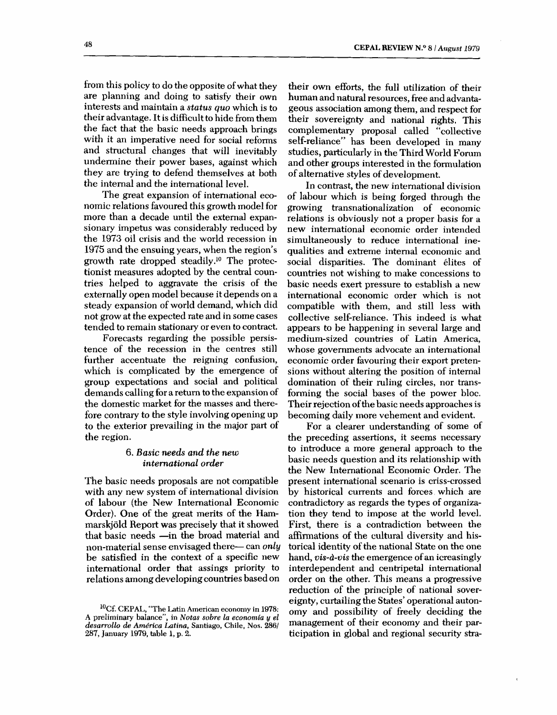from this policy to do the opposite of what they are planning and doing to satisfy their own interests and maintain a *status quo* which is to their advantage. It is difficult to hide from them the fact that the basic needs approach brings with it an imperative need for social reforms and structural changes that will inevitably undermine their power bases, against which they are trying to defend themselves at both the internal and the international level.

The great expansion of international economic relations favoured this growth model for more than a decade until the external expansionary impetus was considerably reduced by the 1973 oil crisis and the world recession in 1975 and the ensuing years, when the region's growth rate dropped steadily.10 The protectionist measures adopted by the central countries helped to aggravate the crisis of the externally open model because it depends on a steady expansion of world demand, which did not grow at the expected rate and in some cases tended to remain stationary or even to contract.

Forecasts regarding the possible persistence of the recession in the centres still further accentuate the reigning confusion, which is complicated by the emergence of group expectations and social and political demands calling for a return to the expansion of the domestic market for the masses and therefore contrary to the style involving opening up to the exterior prevailing in the major part of the region.

# 6. *Basic needs and the new international order*

The basic needs proposals are not compatible with any new system of international division of labour (the New International Economic Order). One of the great merits of the Hammarskjöld Report was precisely that it showed that basic needs —in the broad material and non-material sense envisaged there— can *only* be satisfied in the context of a specific new international order that assings priority to relations among developing countries based on

their own efforts, the full utilization of their human and natural resources, free and advantageous association among them, and respect for their sovereignty and national rights. This complementary proposal called "collective self-reliance" has been developed in many studies, particularly in the Third World Forum and other groups interested in the formulation of alternative styles of development.

In contrast, the new international division of labour which is being forged through the growing transnationalization of economic relations is obviously not a proper basis for a new international economic order intended simultaneously to reduce international inequalities and extreme internal economic and social disparities. The dominant élites of countries not wishing to make concessions to basic needs exert pressure to establish a new international economic order which is not compatible with them, and still less with collective self-reliance. This indeed is what appears to be happening in several large and medium-sized countries of Latin America, whose governments advocate an international economic order favouring their export pretensions without altering the position of internal domination of their ruling circles, nor transforming the social bases of the power bloc. Their rejection of the basic needs approaches is becoming daily more vehement and evident.

For a clearer understanding of some of the preceding assertions, it seems necessary to introduce a more general approach to the basic needs question and its relationship with the New International Economic Order. The present international scenario is criss-crossed by historical currents and forces which are contradictory as regards the types of organization they tend to impose at the world level. First, there is a contradiction between the affirmations of the cultural diversity and historical identity of the national State on the one hand, *vis-à-vis* the emergence of an icreasingly interdependent and centripetal international order on the other. This means a progressive reduction of the principle of national sovereignty, curtailing the States' operational autonomy and possibility of freely deciding the management of their economy and their participation in global and regional security stra

<sup>&</sup>lt;sup>10</sup>Cf. CEPAL, "The Latin American economy in 1978; A preliminary balance", in *Notas sobre la economía y el desarrollo de América Latina,* Santiago, Chile, Nos. 286/ 287, January 1979, table 1, p. 2.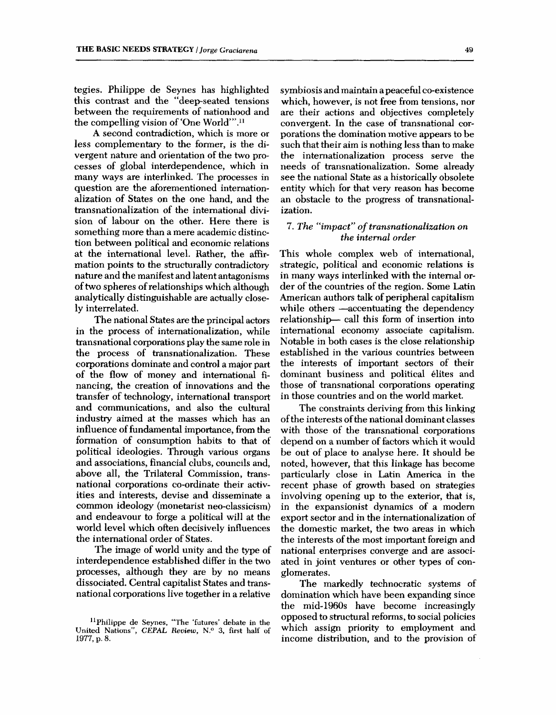tegies. Philippe de Seynes has highlighted this contrast and the "deep-seated tensions between the requirements of nationhood and the compelling vision of 'One World'".<sup>11</sup>

A second contradiction, which is more or less complementary to the former, is the divergent nature and orientation of the two processes of global interdependence, which in many ways are interlinked. The processes in question are the aforementioned internationalization of States on the one hand, and the transnationalization of the international division of labour on the other. Here there is something more than a mere academic distinction between political and economic relations at the international level. Rather, the affirmation points to the structurally contradictory nature and the manifest and latent antagonisms of two spheres of relationships which although analytically distinguishable are actually closely interrelated.

The national States are the principal actors in the process of internationalization, while transnational corporations play the same role in the process of transnationalization. These corporations dominate and control a major part of the flow of money and international financing, the creation of innovations and the transfer of technology, international transport and communications, and also the cultural industry aimed at the masses which has an influence of fundamental importance, from the formation of consumption habits to that of political ideologies. Through various organs and associations, financial clubs, councils and, above all, the Trilateral Commission, transnational corporations co-ordinate their activities and interests, devise and disseminate a common ideology (monetarist neo-classicism) and endeavour to forge a political will at the world level which often decisively influences the international order of States.

The image of world unity and the type of interdependence established differ in the two processes, although they are by no means dissociated. Central capitalist States and transnational corporations live together in a relative

symbiosis and maintain a peaceful co-existence which, however, is not free from tensions, nor are their actions and objectives completely convergent. In the case of transnational corporations the domination motive appears to be such that their aim is nothing less than to make the internationalization process serve the needs of transnationalization. Some already see the national State as a historically obsolete entity which for that very reason has become an obstacle to the progress of transnationalization.

# *7 .T he* "*impact" o f transnationalization on the internal order*

This whole complex web of international, strategic, political and economic relations is in many ways interlinked with the internal order of the countries of the region. Some Latin American authors talk of peripheral capitalism while others —accentuating the dependency relationship— call this form of insertion into international economy associate capitalism. Notable in both cases is the close relationship established in the various countries between the interests of important sectors of their dominant business and political élites and those of transnational corporations operating in those countries and on the world market.

The constraints deriving from this linking of the interests of the national dominant classes with those of the transnational corporations depend on a number of factors which it would be out of place to analyse here. It should be noted, however, that this linkage has become particularly close in Latin America in the recent phase of growth based on strategies involving opening up to the exterior, that is, in the expansionist dynamics of a modem export sector and in the internationalization of the domestic market, the two areas in which the interests of the most important foreign and national enterprises converge and are associated in joint ventures or other types of conglomerates.

The markedly technocratic systems of domination which have been expanding since the mid-1960s have become increasingly opposed to structural reforms, to social policies which assign priority to employment and income distribution, and to the provision of

<sup>1</sup> Philippe de Seynes, "The 'futures' debate in the United Nations", *CEPAL Review*, N.º 3, first half of 1977, p. 8.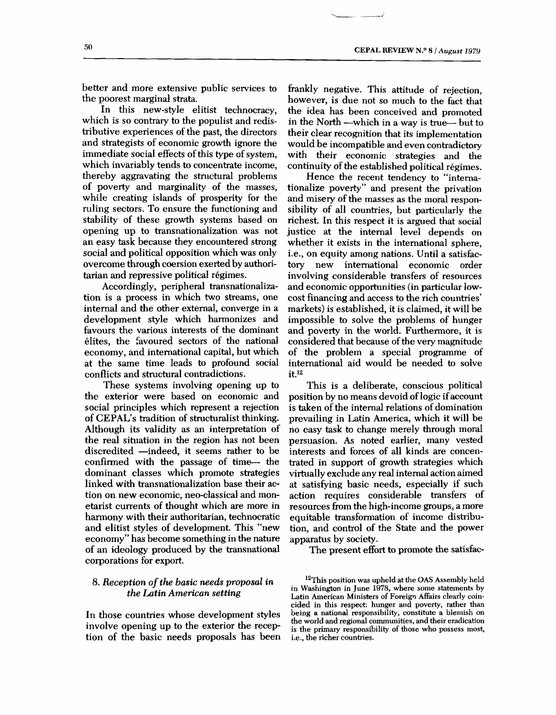better and more extensive public services to the poorest marginal strata.

In this new-style elitist technocracy, which is so contrary to the populist and redistributive experiences of the past, the directors and strategists of economic growth ignore the immediate social effects of this type of system, which invariably tends to concentrate income, thereby aggravating the structural problems of poverty and marginality of the masses, while creating islands of prosperity for the ruling sectors. To ensure the functioning and stability of these growth systems based on opening up to transnationalization was not an easy task because they encountered strong social and political opposition which was only overcome through coersion exerted by authoritarian and repressive political régimes.

Accordingly, peripheral transnationalization is a process in which two streams, one internal and the other external, converge in a development style which harmonizes and favours the various interests of the dominant élites, the favoured sectors of the national economy, and international capital, but which at the same time leads to profound social conflicts and structural contradictions.

These systems involving opening up to the exterior were based on economic and social principles which represent a rejection of CEPAL's tradition of structuralist thinking. Although its validity as an interpretation of the real situation in the region has not been discredited —indeed, it seems rather to be confirmed with the passage of time— the dominant classes which promote strategies linked with transnationalization base their action on new economic, neo-classical and monetarist currents of thought which are more in harmony with their authoritarian, technocratic and elitist styles of development. This "new economy" has become something in the nature of an ideology produced by the transnational corporations for export.

# 8. Reception of the basic needs proposal in *the Latin American setting*

In those countries whose development styles involve opening up to the exterior the reception of the basic needs proposals has been frankly negative. This attitude of rejection, however, is due not so much to the fact that the idea has been conceived and promoted in the North —which in a way is true— but to their clear recognition that its implementation would be incompatible and even contradictory<br>with their economic strategies and the their economic strategies and the continuity of the established political régimes.

Hence the recent tendency to "internationalize poverty" and present the privation and misery of the masses as the moral responsibility of all countries, but particularly the richest. In this respect it is argued that social justice at the internal level depends on whether it exists in the international sphere. i.e., on equity among nations. Until a satisfactory new international economic order involving considerable transfers of resources and economic opportunities (in particular lowcost financing and access to the rich countries' markets) is established, it is claimed, it will be impossible to solve the problems of hunger and poverty in the world. Furthermore, it is considered that because of the very magnitude of the problem a special programme of international aid would be needed to solve it.12

This is a deliberate, conscious political position by no means devoid of logic if account is taken of the internal relations of domination prevailing in Latin America, which it will be no easy task to change merely through moral persuasion. As noted earlier, many vested interests and forces of all kinds are concentrated in support of growth strategies which virtually exclude any real internal action aimed at satisfying basic needs, especially if such action requires considerable transfers of resources from the high-income groups, a more equitable transformation of income distribution, and control of the State and the power apparatus by society.

The present effort to promote the satisfac-

<sup>&</sup>lt;sup>12</sup>This position was upheld at the OAS Assembly held in Washington in June 1978, where some statements by Latin American Ministers of Foreign Affairs clearly coincided in this respect: hunger and poverty, rather than being a national responsibility, constitute a blemish on the world and regional communities, and their eradication is the primary responsibility of those who possess most, i.e., the richer countries.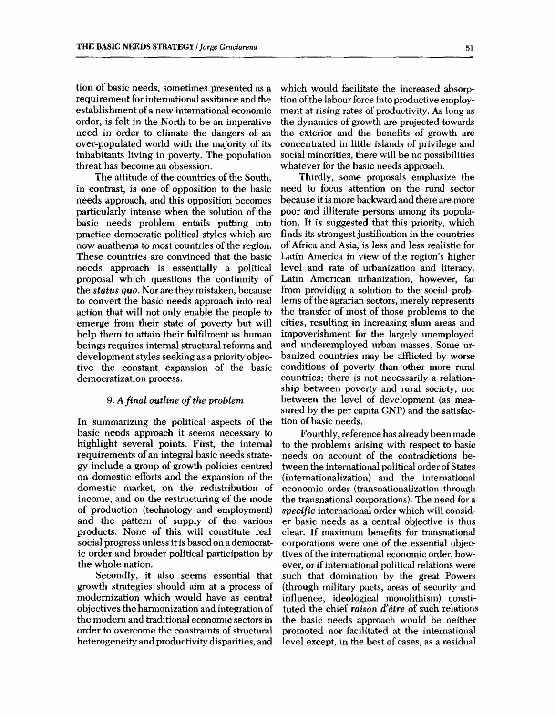tion of basic needs, sometimes presented as a requirement for international assitance and the establishment of a new international economic order, is felt in the North to be an imperative need in order to elimate the dangers of an over-populated world with the majority of its inhabitants living in poverty. The population threat has become an obsession.

The attitude of the countries of the South, in contrast, is one of opposition to the basic needs approach, and this opposition becomes particularly intense when the solution of the basic needs problem entails putting into practice democratic political styles which are now anathema to most countries of the region. These countries are convinced that the basic needs approach is essentially a political proposal which questions the continuity of the *status quo.* Nor are they mistaken, because to convert the basic needs approach into real action that will not only enable the people to emerge from their state of poverty but will help them to attain their fulfilment as human beings requires internal structural reforms and development styles seeking as a priority objective the constant expansion of the basic democratization process.

#### 9. A final outline of the problem

In summarizing the political aspects of the basic needs approach it seems necessary to highlight several points. First, the internal requirements of an integral basic needs strategy include a group of growth policies centred on domestic efforts and the expansion of the domestic market, on the redistribution of income, and on the restructuring of the mode of production (technology and employment) and the pattern of supply of the various products. None of this will constitute real social progress unless it is based on a democratic order and broader political participation by the whole nation.

Secondly, it also seems essential that growth strategies should aim at a process of modernization which would have as central objectives the harmonization and integration of the modem and traditional economic sectors in order to overcome the constraints of structural heterogeneity and productivity disparities, and

which would facilitate the increased absorption of the labour force into productive employment at rising rates of productivity. As long as the dynamics of growth are projected towards the exterior and the benefits of growth are concentrated in little islands of privilege and social minorities, there will be no possibilities whatever for the basic needs approach.

Thirdly, some proposals emphasize the need to focus attention on the rural sector because it is more backward and there are more poor and illiterate persons among its population. It is suggested that this priority, which finds its strongest justification in the countries of Africa and Asia, is less and less realistic for Latin America in view of the region's higher level and rate of urbanization and literacy. Latin American urbanization, however, far from providing a solution to the social problems of the agrarian sectors, merely represents the transfer of most of those problems to the cities, resulting in increasing slum areas and impoverishment for the largely unemployed and underemployed urban masses. Some urbanized countries may be afflicted by worse conditions of poverty than other more rural countries; there is not necessarily a relationship between poverty and rural society, nor between the level of development (as measured by the per capita GNP) and the satisfaction of basic needs.

Fourthly, reference has already been made to the problems arising with respect to basic needs on account of the contradictions between the international political order of States (internationalization) and the international economic order (transnationalization through the transnational corporations). The need for a *specific* international order which will consider basic needs as a central objective is thus clear. If maximum benefits for transnational corporations were one of the essential objectives of the international economic order, however, or if international political relations were such that domination by the great Powers (through military pacts, areas of security and influence, ideological monolithism) constituted the chief *raison d'être* of such relations the basic needs approach would be neither promoted nor facilitated at the international level except, in the best of cases, as a residual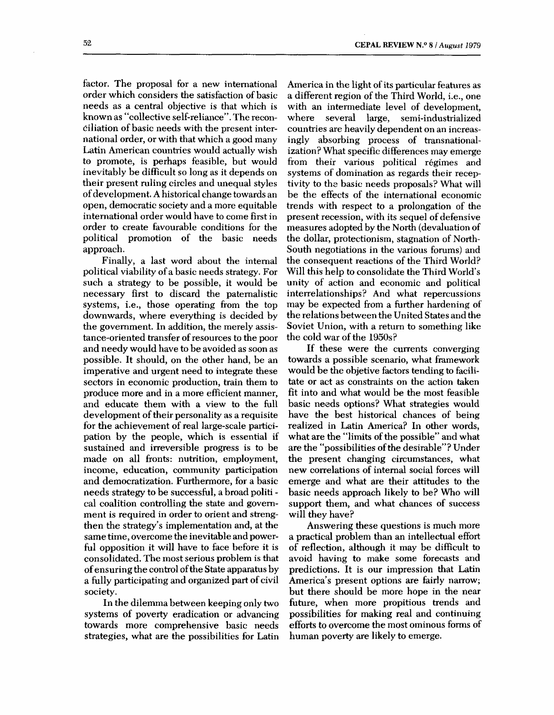factor. The proposal for a new international order which considers the satisfaction of basic needs as a central objective is that which is known as "collective self-reliance". The reconciliation of basic needs with the present international order, or with that which a good many Latin American countries would actually wish to promote, is perhaps feasible, but would inevitably be difficult so long as it depends on their present ruling circles and unequal styles of development. A historical change towards an open, democratic society and a more equitable international order would have to come first in order to create favourable conditions for the political promotion of the basic needs approach.

Finally, a last word about the internal political viability of a basic needs strategy. For such a strategy to be possible, it would be necessary first to discard the paternalistic systems, i.e., those operating from the top downwards, where everything is decided by the government. In addition, the merely assistance-oriented transfer of resources to the poor and needy would have to be avoided as soon as possible. It should, on the other hand, be an imperative and urgent need to integrate these sectors in economic production, train them to produce more and in a more efficient manner, and educate them with a view to the full development of their personality as a requisite for the achievement of real large-scale participation by the people, which is essential if sustained and irreversible progress is to be made on all fronts: nutrition, employment, income, education, community participation and democratization. Furthermore, for a basic needs strategy to be successful, a broad politi cal coalition controlling the state and government is required in order to orient and strengthen the strategy's implementation and, at the same time, overcome the inevitable and powerful opposition it will have to face before it is consolidated. The most serious problem is that of ensuring the control of the State apparatus by a fully participating and organized part of civil society.

In the dilemma between keeping only two systems of poverty eradication or advancing towards more comprehensive basic needs strategies, what are the possibilities for Latin

America in the light of its particular features as a different region of the Third World, i.e., one with an intermediate level of development, where several large, semi-industrialized countries are heavily dependent on an increasingly absorbing process of transnationalization? What specific differences may emerge from their various political régimes and systems of domination as regards their receptivity to the basic needs proposals? What will be the effects of the international economic trends with respect to a prolongation of the present recession, with its sequel of defensive measures adopted by the North (devaluation of the dollar, protectionism, stagnation of North-South negotiations in the various forums) and the consequent reactions of the Third World? Will this help to consolidate the Third World's unity of action and economic and political interrelationships? And what repercussions may be expected from a further hardening of the relations between the United States and the Soviet Union, with a return to something like the cold war of the 1950s?

If these were the currents converging towards a possible scenario, what framework would be the objetive factors tending to facilitate or act as constraints on the action taken fit into and what would be the most feasible basic needs options? What strategies would have the best historical chances of being realized in Latin America? In other words, what are the "limits of the possible" and what are the "possibilities of the desirable"? Under the present changing circumstances, what new correlations of internal social forces will emerge and what are their attitudes to the basic needs approach likely to be? Who will support them, and what chances of success will they have?

Answering these questions is much more a practical problem than an intellectual effort of reflection, although it may be difficult to avoid having to make some forecasts and predictions. It is our impression that Latin America's present options are fairly narrow; but there should be more hope in the near future, when more propitious trends and possibilities for making real and continuing efforts to overcome the most ominous forms of human poverty are likely to emerge.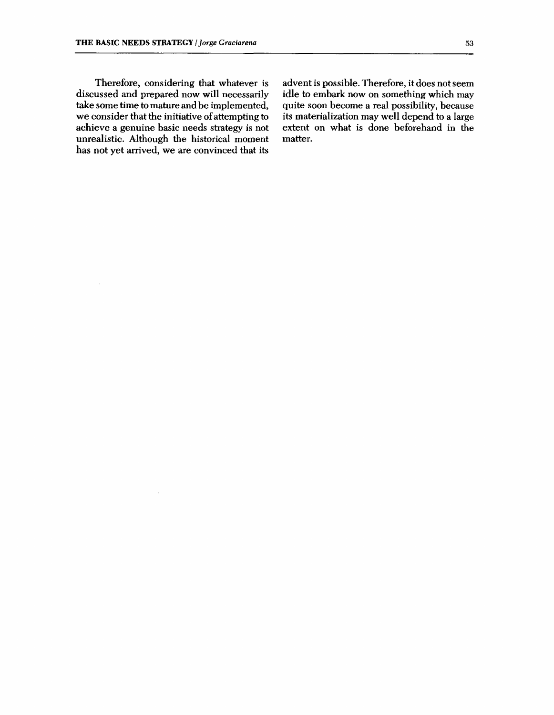Therefore, considering that whatever is discussed and prepared now will necessarily take some time to mature and be implemented, we consider that the initiative of attempting to achieve a genuine basic needs strategy is not unrealistic. Although the historical moment has not yet arrived, we are convinced that its

advent is possible. Therefore, it does not seem idle to embark now on something which may quite soon become a real possibility, because its materialization may well depend to a large extent on what is done beforehand in the matter.